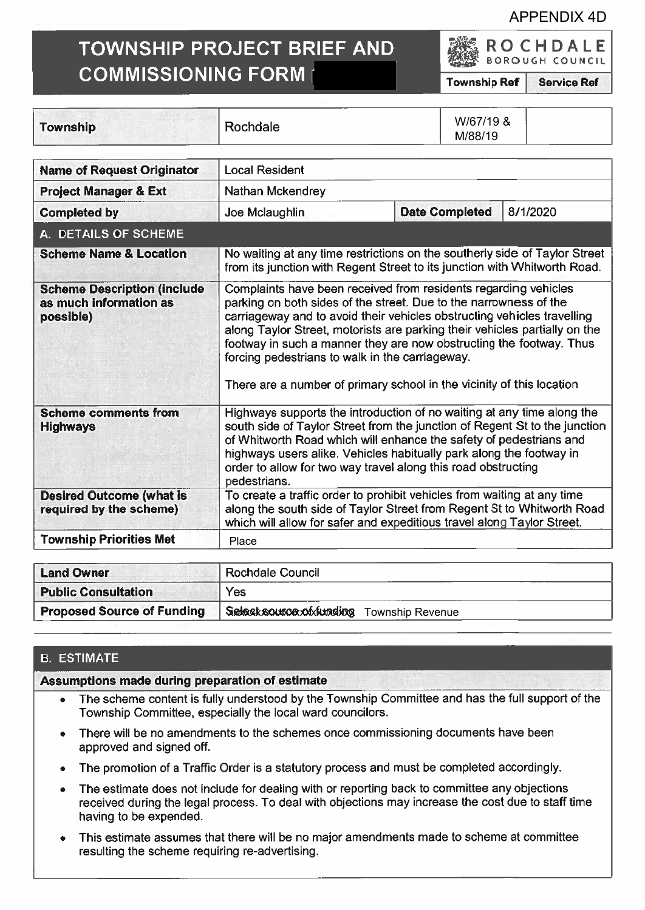### APPENDIX 4D

ROCHDALE BOROUGH COUNCIL

# TOWNSHIP PROJECT BRIEF AND COMMISSIONING FORM

Township Ref Service Ref

| <b>Township</b>                                                           | Rochdale                                                                                                                                                                                                                                                                                                                                                                                                                                                                                         |  | W/67/19 &<br>M/88/19 |  |  |
|---------------------------------------------------------------------------|--------------------------------------------------------------------------------------------------------------------------------------------------------------------------------------------------------------------------------------------------------------------------------------------------------------------------------------------------------------------------------------------------------------------------------------------------------------------------------------------------|--|----------------------|--|--|
| <b>Name of Request Originator</b>                                         | <b>Local Resident</b>                                                                                                                                                                                                                                                                                                                                                                                                                                                                            |  |                      |  |  |
| <b>Project Manager &amp; Ext</b>                                          | Nathan Mckendrey                                                                                                                                                                                                                                                                                                                                                                                                                                                                                 |  |                      |  |  |
| <b>Completed by</b>                                                       | 8/1/2020<br><b>Date Completed</b><br>Joe Mclaughlin                                                                                                                                                                                                                                                                                                                                                                                                                                              |  |                      |  |  |
| A. DETAILS OF SCHEME                                                      |                                                                                                                                                                                                                                                                                                                                                                                                                                                                                                  |  |                      |  |  |
| <b>Scheme Name &amp; Location</b>                                         | No waiting at any time restrictions on the southerly side of Taylor Street<br>from its junction with Regent Street to its junction with Whitworth Road.                                                                                                                                                                                                                                                                                                                                          |  |                      |  |  |
| <b>Scheme Description (include</b><br>as much information as<br>possible) | Complaints have been received from residents regarding vehicles<br>parking on both sides of the street. Due to the narrowness of the<br>carriageway and to avoid their vehicles obstructing vehicles travelling<br>along Taylor Street, motorists are parking their vehicles partially on the<br>footway in such a manner they are now obstructing the footway. Thus<br>forcing pedestrians to walk in the carriageway.<br>There are a number of primary school in the vicinity of this location |  |                      |  |  |
| <b>Scheme comments from</b><br><b>Highways</b>                            | Highways supports the introduction of no waiting at any time along the<br>south side of Taylor Street from the junction of Regent St to the junction<br>of Whitworth Road which will enhance the safety of pedestrians and<br>highways users alike. Vehicles habitually park along the footway in<br>order to allow for two way travel along this road obstructing<br>pedestrians.                                                                                                               |  |                      |  |  |
| <b>Desired Outcome (what is</b><br>required by the scheme)                | To create a traffic order to prohibit vehicles from waiting at any time<br>along the south side of Taylor Street from Regent St to Whitworth Road<br>which will allow for safer and expeditious travel along Taylor Street.                                                                                                                                                                                                                                                                      |  |                      |  |  |
| <b>Township Priorities Met</b>                                            | Place                                                                                                                                                                                                                                                                                                                                                                                                                                                                                            |  |                      |  |  |

| <b>Land Owner</b>                 | Rochdale Council                          |  |
|-----------------------------------|-------------------------------------------|--|
| <b>Public Consultation</b>        | Yes                                       |  |
| <b>Proposed Source of Funding</b> | Select source of funding Township Revenue |  |

## 8. ESTIMATE

Assumptions made during preparation of estimate

- . The scheme content is fully understood by the Township Committee and has the full suppor<sup>t</sup> of the Township Committee, especially the local ward councilors.
- . There will be no amendments to the schemes once commissioning documents have been approved and signed off.
- . The promotion of <sup>a</sup> Traffic Order is <sup>a</sup> statutory process and must be completed accordingly.
- . The estimate does not include for dealing with or reporting back to committee any objections received during the legal process. To deal with objections may increase the cost due to staff time having to be expended.
- . This estimate assumes that there will be no major amendments made to scheme at committee resulting the scheme requiring re-advertising.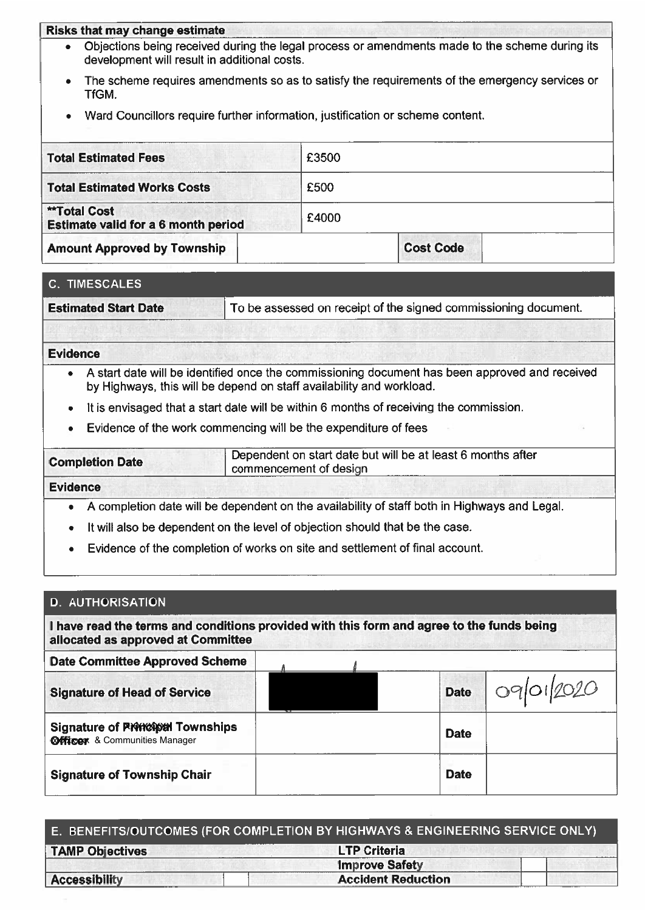#### Risks that may change estimate

- . Objections being received during the legal process or amendments made to the scheme during its development will result in additional costs.
- The scheme requires amendments so as to satisfy the requirements of the emergency services or TfGM.
- Ward Councillors require further information, justification or scheme content.

| <b>Total Estimated Fees</b>                                | £3500 |                  |  |
|------------------------------------------------------------|-------|------------------|--|
| <b>Total Estimated Works Costs</b>                         | £500  |                  |  |
| <b>**Total Cost</b><br>Estimate valid for a 6 month period | £4000 |                  |  |
| <b>Amount Approved by Township</b>                         |       | <b>Cost Code</b> |  |

#### C. TIMESCALES

| <b>Estimated Start Date</b> | To be assessed on receipt of the signed commissioning document. |
|-----------------------------|-----------------------------------------------------------------|
|-----------------------------|-----------------------------------------------------------------|

#### Evidence

- A start date will be identified once the commissioning document has been approved and received by Highways, this will be depend on staff availability and workload.
- $\bullet$   $\;\;$  It is envisaged that a start date will be within 6 months of receiving the commission.
- Evidence of the work commencing will be the expenditure of fees

|  | <b>Completion Date</b> | Dependent on start date but will be at least 6 months after<br>commencement of design |
|--|------------------------|---------------------------------------------------------------------------------------|
|--|------------------------|---------------------------------------------------------------------------------------|

#### Evidence

- .A completion date will be dependent on the availability of staff both in Highways and Legal.
- . $\bullet$  It will also be dependent on the level of objection should that be the case.
- $\bullet$   $\;\;$  Evidence of the completion of works on site and settlement of final account

| <b>D. AUTHORISATION</b>                                                                                                         |             |            |
|---------------------------------------------------------------------------------------------------------------------------------|-------------|------------|
| I have read the terms and conditions provided with this form and agree to the funds being<br>allocated as approved at Committee |             |            |
| <b>Date Committee Approved Scheme</b>                                                                                           |             |            |
| <b>Signature of Head of Service</b>                                                                                             | <b>Date</b> | 09/01/2020 |
| <b>Signature of RNWWWAN Townships</b><br><b>@fficer</b> & Communities Manager                                                   | <b>Date</b> |            |
| <b>Signature of Township Chair</b>                                                                                              | <b>Date</b> |            |

|                        | E. BENEFITS/OUTCOMES (FOR COMPLETION BY HIGHWAYS & ENGINEERING SERVICE ONLY) |  |
|------------------------|------------------------------------------------------------------------------|--|
| <b>TAMP Objectives</b> | <b>LTP Criteria</b>                                                          |  |
|                        | <b>Improve Safety</b>                                                        |  |
| <b>Accessibility</b>   | <b>Accident Reduction</b>                                                    |  |